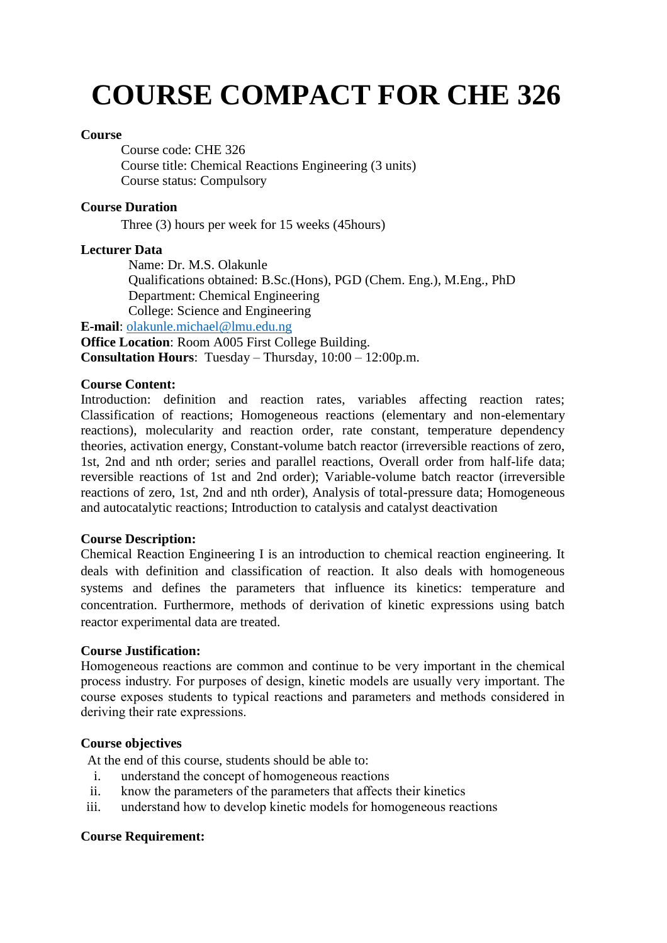# **COURSE COMPACT FOR CHE 326**

#### **Course**

Course code: CHE 326 Course title: Chemical Reactions Engineering (3 units) Course status: Compulsory

## **Course Duration**

Three (3) hours per week for 15 weeks (45hours)

## **Lecturer Data**

Name: Dr. M.S. Olakunle Qualifications obtained: B.Sc.(Hons), PGD (Chem. Eng.), M.Eng., PhD Department: Chemical Engineering College: Science and Engineering

**E-mail**: [olakunle.michael@lmu.edu.ng](mailto:olakunle.michael@lmu.edu.ng) **Office Location**: Room A005 First College Building. **Consultation Hours**: Tuesday – Thursday, 10:00 – 12:00p.m.

## **Course Content:**

Introduction: definition and reaction rates, variables affecting reaction rates; Classification of reactions; Homogeneous reactions (elementary and non-elementary reactions), molecularity and reaction order, rate constant, temperature dependency theories, activation energy, Constant-volume batch reactor (irreversible reactions of zero, 1st, 2nd and nth order; series and parallel reactions, Overall order from half-life data; reversible reactions of 1st and 2nd order); Variable-volume batch reactor (irreversible reactions of zero, 1st, 2nd and nth order), Analysis of total-pressure data; Homogeneous and autocatalytic reactions; Introduction to catalysis and catalyst deactivation

#### **Course Description:**

Chemical Reaction Engineering I is an introduction to chemical reaction engineering. It deals with definition and classification of reaction. It also deals with homogeneous systems and defines the parameters that influence its kinetics: temperature and concentration. Furthermore, methods of derivation of kinetic expressions using batch reactor experimental data are treated.

#### **Course Justification:**

Homogeneous reactions are common and continue to be very important in the chemical process industry. For purposes of design, kinetic models are usually very important. The course exposes students to typical reactions and parameters and methods considered in deriving their rate expressions.

#### **Course objectives**

At the end of this course, students should be able to:

- i. understand the concept of homogeneous reactions
- ii. know the parameters of the parameters that affects their kinetics
- iii. understand how to develop kinetic models for homogeneous reactions

## **Course Requirement:**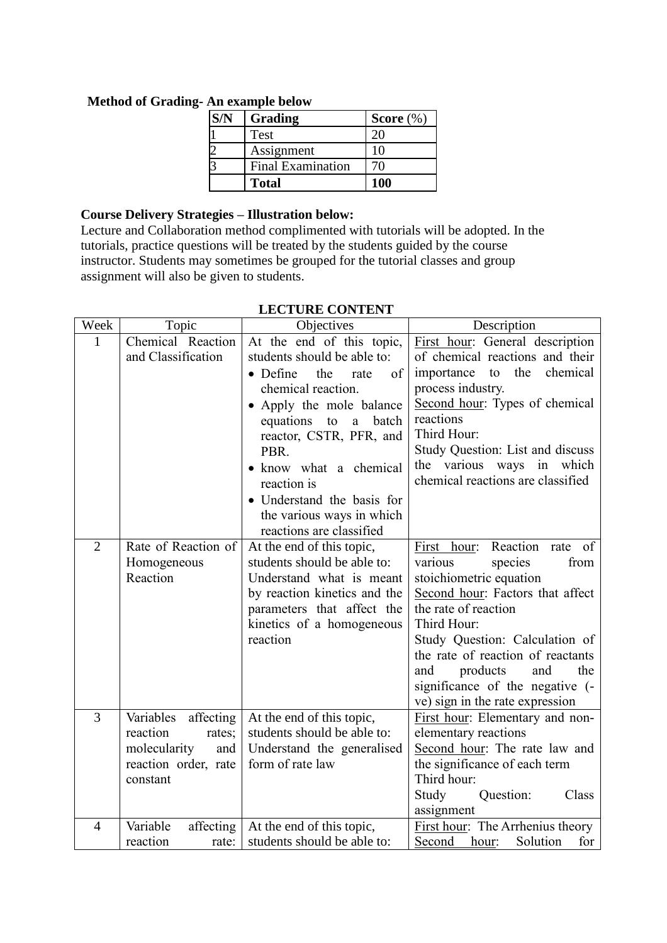| Grading                  | Score $(\%)$ |
|--------------------------|--------------|
| Test                     | 20.          |
| Assignment               | 10           |
| <b>Final Examination</b> | 70           |
| <b>Total</b>             | 100          |

## **Method of Grading- An example below**

## **Course Delivery Strategies – Illustration below:**

Lecture and Collaboration method complimented with tutorials will be adopted. In the tutorials, practice questions will be treated by the students guided by the course instructor. Students may sometimes be grouped for the tutorial classes and group assignment will also be given to students.

| Week           | Topic                                                                                                | Objectives                                                                                                                                                                                                                                                                                                                                                         | Description                                                                                                                                                                                                                                                                                                                                             |
|----------------|------------------------------------------------------------------------------------------------------|--------------------------------------------------------------------------------------------------------------------------------------------------------------------------------------------------------------------------------------------------------------------------------------------------------------------------------------------------------------------|---------------------------------------------------------------------------------------------------------------------------------------------------------------------------------------------------------------------------------------------------------------------------------------------------------------------------------------------------------|
| $\mathbf{1}$   | Chemical Reaction<br>and Classification                                                              | At the end of this topic,<br>students should be able to:<br>$\bullet$ Define<br>the<br>of<br>rate<br>chemical reaction.<br>• Apply the mole balance<br>equations<br>to<br>$\mathbf{a}$<br>batch<br>reactor, CSTR, PFR, and<br>PBR.<br>• know what a chemical<br>reaction is<br>· Understand the basis for<br>the various ways in which<br>reactions are classified | First hour: General description<br>of chemical reactions and their<br>importance to the chemical<br>process industry.<br>Second hour: Types of chemical<br>reactions<br>Third Hour:<br>Study Question: List and discuss<br>the various ways in which<br>chemical reactions are classified                                                               |
| $\overline{2}$ | Rate of Reaction of<br>Homogeneous<br>Reaction                                                       | At the end of this topic,<br>students should be able to:<br>Understand what is meant<br>by reaction kinetics and the<br>parameters that affect the<br>kinetics of a homogeneous<br>reaction                                                                                                                                                                        | Reaction<br>First hour:<br>of<br>rate<br>from<br>various<br>species<br>stoichiometric equation<br>Second hour: Factors that affect<br>the rate of reaction<br>Third Hour:<br>Study Question: Calculation of<br>the rate of reaction of reactants<br>and<br>products<br>and<br>the<br>significance of the negative (-<br>ve) sign in the rate expression |
| $\overline{3}$ | Variables affecting<br>reaction<br>rates;<br>molecularity<br>and<br>reaction order, rate<br>constant | At the end of this topic,<br>students should be able to:<br>Understand the generalised<br>form of rate law                                                                                                                                                                                                                                                         | First hour: Elementary and non-<br>elementary reactions<br>Second hour: The rate law and<br>the significance of each term<br>Third hour:<br>Study<br>Question:<br>Class<br>assignment                                                                                                                                                                   |
| $\overline{4}$ | Variable<br>affecting $ $<br>reaction<br>rate:                                                       | At the end of this topic,<br>students should be able to:                                                                                                                                                                                                                                                                                                           | First hour: The Arrhenius theory<br>Second hour:<br>Solution<br>for                                                                                                                                                                                                                                                                                     |

## **LECTURE CONTENT**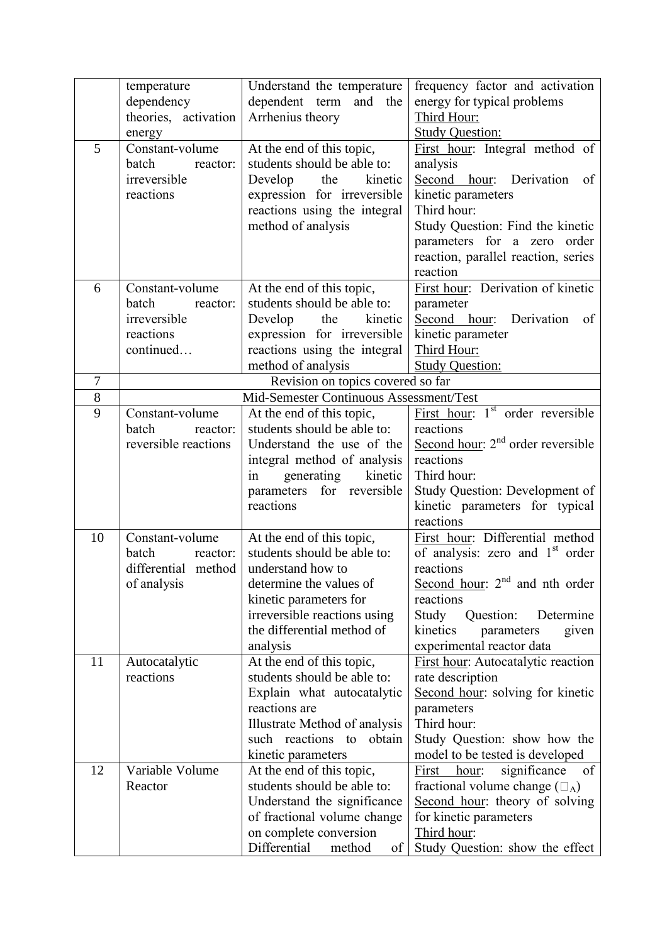|        | temperature          | Understand the temperature                                                   | frequency factor and activation              |
|--------|----------------------|------------------------------------------------------------------------------|----------------------------------------------|
|        | dependency           | dependent term<br>and the                                                    | energy for typical problems                  |
|        | theories, activation | Arrhenius theory                                                             | Third Hour:                                  |
|        | energy               |                                                                              | <b>Study Question:</b>                       |
| 5      | Constant-volume      | At the end of this topic,                                                    | First hour: Integral method of               |
|        | batch<br>reactor:    | students should be able to:                                                  | analysis                                     |
|        | irreversible         | kinetic<br>Develop<br>the                                                    | Second hour: Derivation<br>of                |
|        | reactions            | expression for irreversible                                                  | kinetic parameters                           |
|        |                      | reactions using the integral                                                 | Third hour:                                  |
|        |                      | method of analysis                                                           | Study Question: Find the kinetic             |
|        |                      |                                                                              | parameters for a zero order                  |
|        |                      |                                                                              | reaction, parallel reaction, series          |
|        |                      |                                                                              | reaction                                     |
| 6      | Constant-volume      | At the end of this topic,                                                    | First hour: Derivation of kinetic            |
|        | batch<br>reactor:    | students should be able to:                                                  | parameter                                    |
|        | irreversible         | kinetic<br>Develop<br>the                                                    | Second hour: Derivation<br>of                |
|        | reactions            | expression for irreversible                                                  | kinetic parameter                            |
|        | continued            | reactions using the integral                                                 | Third Hour:                                  |
|        |                      |                                                                              |                                              |
| $\tau$ |                      | method of analysis                                                           | <b>Study Question:</b>                       |
| 8      |                      | Revision on topics covered so far<br>Mid-Semester Continuous Assessment/Test |                                              |
| 9      |                      |                                                                              | First hour: 1 <sup>st</sup> order reversible |
|        | Constant-volume      | At the end of this topic,                                                    |                                              |
|        | batch<br>reactor:    | students should be able to:                                                  | reactions                                    |
|        | reversible reactions | Understand the use of the                                                    | Second hour: $2nd$ order reversible          |
|        |                      | integral method of analysis                                                  | reactions                                    |
|        |                      | kinetic<br>generating<br>in                                                  | Third hour:                                  |
|        |                      | parameters for reversible                                                    | Study Question: Development of               |
|        |                      | reactions                                                                    | kinetic parameters for typical               |
|        |                      |                                                                              | reactions                                    |
| 10     | Constant-volume      | At the end of this topic,                                                    | First hour: Differential method              |
|        | batch<br>reactor:    | students should be able to:                                                  | of analysis: zero and 1 <sup>st</sup> order  |
|        | differential method  | understand how to                                                            | reactions                                    |
|        | of analysis          | determine the values of                                                      | Second hour: $2nd$ and nth order             |
|        |                      | kinetic parameters for                                                       | reactions                                    |
|        |                      | irreversible reactions using                                                 | Study<br>Question:<br>Determine              |
|        |                      | the differential method of                                                   | kinetics<br>given<br>parameters              |
|        |                      | analysis                                                                     | experimental reactor data                    |
| 11     | Autocatalytic        | At the end of this topic,                                                    | First hour: Autocatalytic reaction           |
|        | reactions            | students should be able to:                                                  | rate description                             |
|        |                      | Explain what autocatalytic                                                   | Second hour: solving for kinetic             |
|        |                      | reactions are                                                                | parameters                                   |
|        |                      | Illustrate Method of analysis                                                | Third hour:                                  |
|        |                      | such reactions to<br>obtain                                                  | Study Question: show how the                 |
|        |                      | kinetic parameters                                                           | model to be tested is developed              |
| 12     | Variable Volume      | At the end of this topic,                                                    | significance<br>of<br>First<br>hour:         |
|        | Reactor              | students should be able to:                                                  | fractional volume change $(\square_A)$       |
|        |                      | Understand the significance                                                  | Second hour: theory of solving               |
|        |                      | of fractional volume change                                                  | for kinetic parameters                       |
|        |                      | on complete conversion                                                       | Third hour:                                  |
|        |                      | Differential<br>method<br>of                                                 | Study Question: show the effect              |